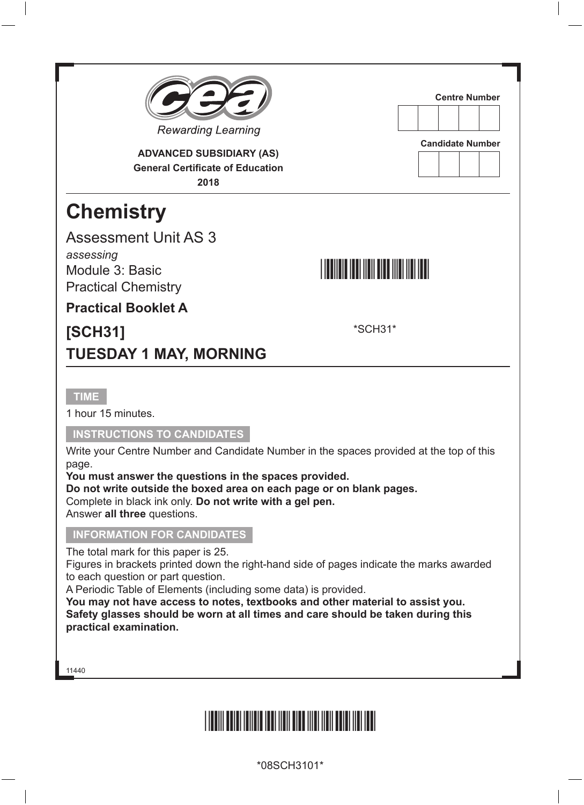

**ADVANCED SUBSIDIARY (AS) General Certificate of Education 2018**

## **Chemistry**

Assessment Unit AS 3 *assessing* Module 3: Basic

## **Centre Number**





\*SCH31\*

**Practical Booklet A**

Practical Chemistry

## **[SCH31] TUESDAY 1 MAY, MORNING**

**TIME**

1 hour 15 minutes.

#### **INSTRUCTIONS TO CANDIDATES**

Write your Centre Number and Candidate Number in the spaces provided at the top of this page.

**You must answer the questions in the spaces provided.**

**Do not write outside the boxed area on each page or on blank pages.**

Complete in black ink only. **Do not write with a gel pen.**

Answer **all three** questions.

#### **INFORMATION FOR CANDIDATES**

The total mark for this paper is 25.

Figures in brackets printed down the right-hand side of pages indicate the marks awarded to each question or part question.

A Periodic Table of Elements (including some data) is provided.

**You may not have access to notes, textbooks and other material to assist you. Safety glasses should be worn at all times and care should be taken during this practical examination.**

11440



\*08SCH3101\*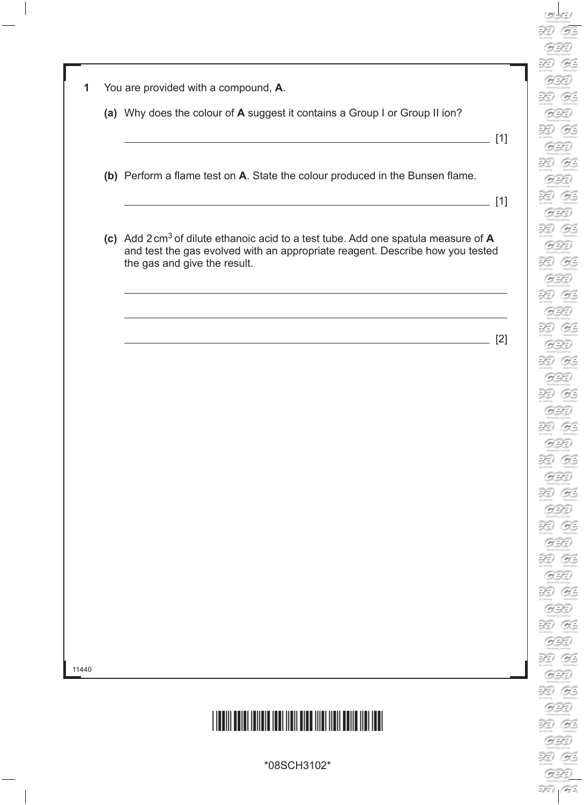B  $\sum_{n \text{ learning}}$ G.  $\widetilde{\mathcal{H}}$ B  $\mathcal{Z}$ G.  $\mathcal{D}$ G.  $\widetilde{\mathcal{H}}$ B.  $\mathbb{R}$ G. XI  $O$  $\mathcal{Z}$ G.  $\mathcal{Z}$ B. R G. R G.  $\widetilde{\mathcal{H}}$ B  $\mathfrak{D}$ G.  $\mathcal{L}$ G.  $\widetilde{\mathcal{H}}$ G.  $\mathcal{Z}$ B  $\mathcal{L}$ G.  $\mathcal{Z}$  $O$  $\widetilde{\mathcal{H}}$  $O$  $\mathcal{Z}$ G.  $\widetilde{\mathcal{H}}$ G.  $\widetilde{\mathcal{L}}$ B

| 1 |  |  |  | You are provided with a compound, A. |  |
|---|--|--|--|--------------------------------------|--|
|---|--|--|--|--------------------------------------|--|

- **(a)** Why does the colour of **A** suggest it contains a Group I or Group II ion?
- $\sqrt{11}$

RD.

- **(b)** Perform a flame test on **A**. State the colour produced in the Bunsen flame.
- $[1]$
- **(c)** Add 2cm3 of dilute ethanoic acid to a test tube. Add one spatula measure of **A** and test the gas evolved with an appropriate reagent. Describe how you tested the gas and give the result.

[2]

11440



\*08SCH3102\*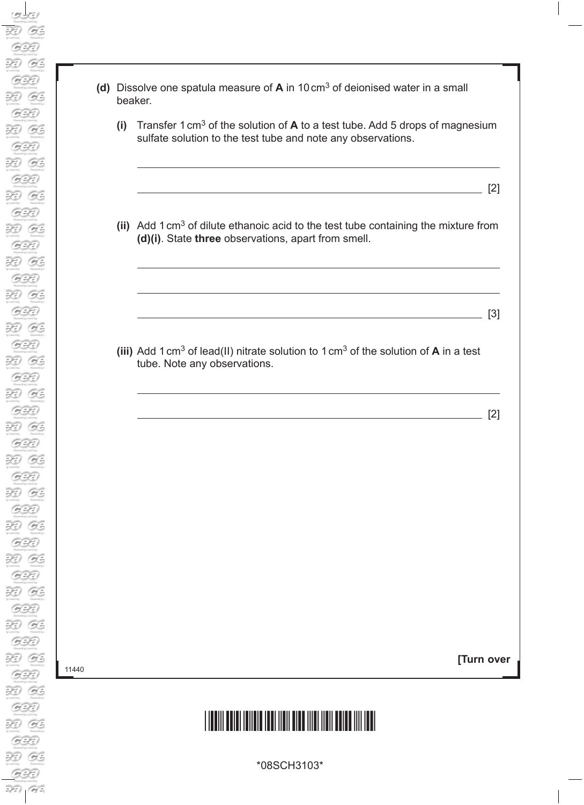| (d) Dissolve one spatula measure of $A$ in 10 cm <sup>3</sup> of deionised water in a small |
|---------------------------------------------------------------------------------------------|
| beaker.                                                                                     |

 **(i)** Transfer 1cm3 of the solution of **A** to a test tube. Add 5 drops of magnesium sulfate solution to the test tube and note any observations.

 $\sim$  [2]

 **(ii)** Add 1cm3 of dilute ethanoic acid to the test tube containing the mixture from **(d)(i)**. State **three** observations, apart from smell.

 **(iii)** Add 1cm3 of lead(II) nitrate solution to 1cm3 of the solution of **A** in a test tube. Note any observations.

 $\overline{\phantom{a}}$  [2]

[3]

**[Turn over**

## \*11. The control of the control of the control of the control of the control of the control of the control of t

\*08SCH3103\*

11440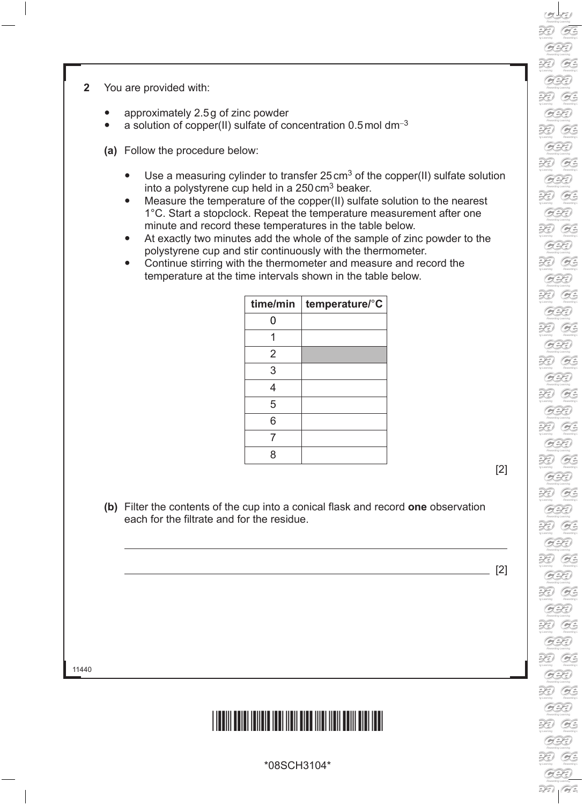RD.  $O$ R G. RD. G. RZ) G. R  $G^2$ XI G. R G. RD. **B** 3D G. XI  $O$ RD. G. 3D G. R G. R. G. XI G. XI G. RD.  $O$ R **B** R  $O$ 39  $O$ R G. R. G. R  $O$ 

- **2** You are provided with:
	- approximately 2.5g of zinc powder
	- a solution of copper(II) sulfate of concentration 0.5mol dm−<sup>3</sup>
	- **(a)** Follow the procedure below:
		- Use a measuring cylinder to transfer  $25 \text{ cm}^3$  of the copper(II) sulfate solution into a polystyrene cup held in a  $250 \text{ cm}^3$  beaker.
		- Measure the temperature of the copper(II) sulfate solution to the nearest 1°C. Start a stopclock. Repeat the temperature measurement after one minute and record these temperatures in the table below.
		- At exactly two minutes add the whole of the sample of zinc powder to the polystyrene cup and stir continuously with the thermometer.
		- Continue stirring with the thermometer and measure and record the temperature at the time intervals shown in the table below.

| time/min       | temperature/°C |
|----------------|----------------|
| 0              |                |
|                |                |
| $\overline{2}$ |                |
| 3              |                |
| 4              |                |
| 5              |                |
| 6              |                |
| 7              |                |
| Զ              |                |

[2]

**(b)** Filter the contents of the cup into a conical flask and record **one** observation each for the filtrate and for the residue.

[2]

11440



\*08SCH3104\*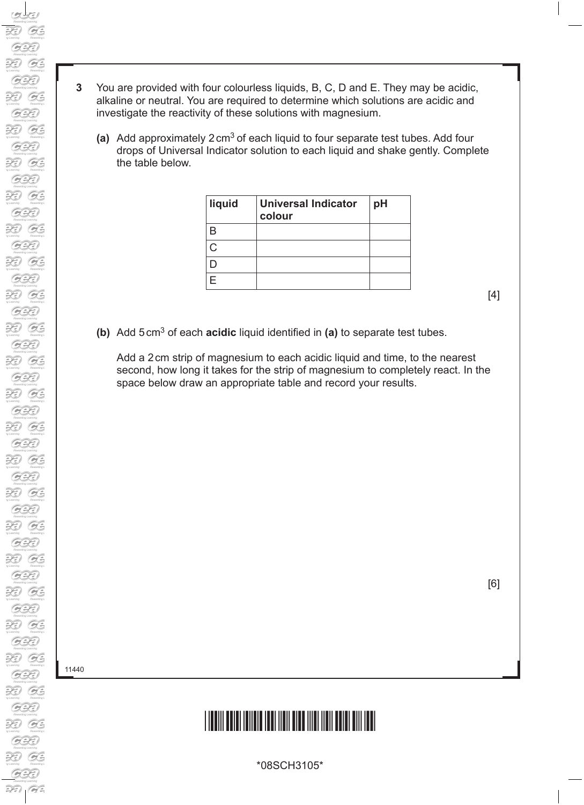- **3** You are provided with four colourless liquids, B, C, D and E. They may be acidic, alkaline or neutral. You are required to determine which solutions are acidic and investigate the reactivity of these solutions with magnesium.
	- **(a)** Add approximately 2cm3 of each liquid to four separate test tubes. Add four drops of Universal Indicator solution to each liquid and shake gently. Complete the table below.

| liquid | <b>Universal Indicator</b><br>colour | рH |
|--------|--------------------------------------|----|
|        |                                      |    |
|        |                                      |    |
|        |                                      |    |
|        |                                      |    |

**(b)** Add 5cm3 of each **acidic** liquid identified in **(a)** to separate test tubes.

 Add a 2cm strip of magnesium to each acidic liquid and time, to the nearest second, how long it takes for the strip of magnesium to completely react. In the space below draw an appropriate table and record your results.

11440

## \*11. The control of the control of the control of the control of the control of the control of the control of t

\*08SCH3105\*

[4]

[6]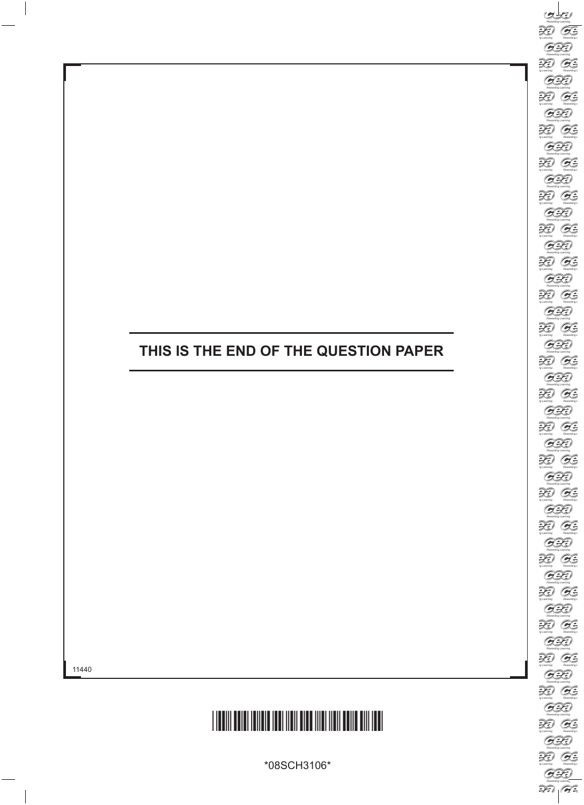## **THIS IS THE END OF THE QUESTION PAPER**



\*08SCH3106\*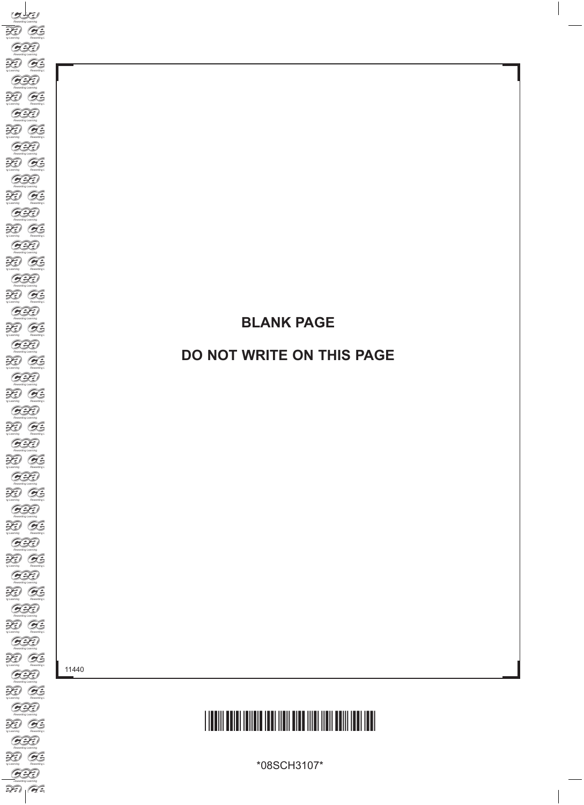## **BLANK PAGE**

### **DO NOT WRITE ON THIS PAGE**

11440



\*08SCH3107\*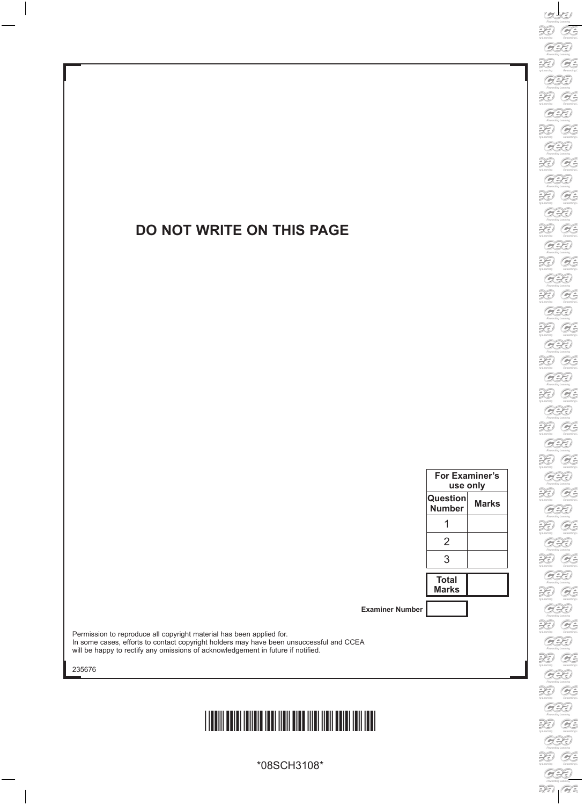#### **DO NOT WRITE ON THIS PAGE**

| <b>For Examiner's</b><br>use only |       |  |
|-----------------------------------|-------|--|
| Question<br><b>Number</b>         | Marks |  |
|                                   |       |  |
| 2                                 |       |  |
| 3                                 |       |  |
| <b>Total</b><br><b>Marks</b>      |       |  |
|                                   |       |  |

**Examiner Number**

Permission to reproduce all copyright material has been applied for. In some cases, efforts to contact copyright holders may have been unsuccessful and CCEA will be happy to rectify any omissions of acknowledgement in future if notified.

235676

## \*08SCH3108\*

\*08SCH3108\*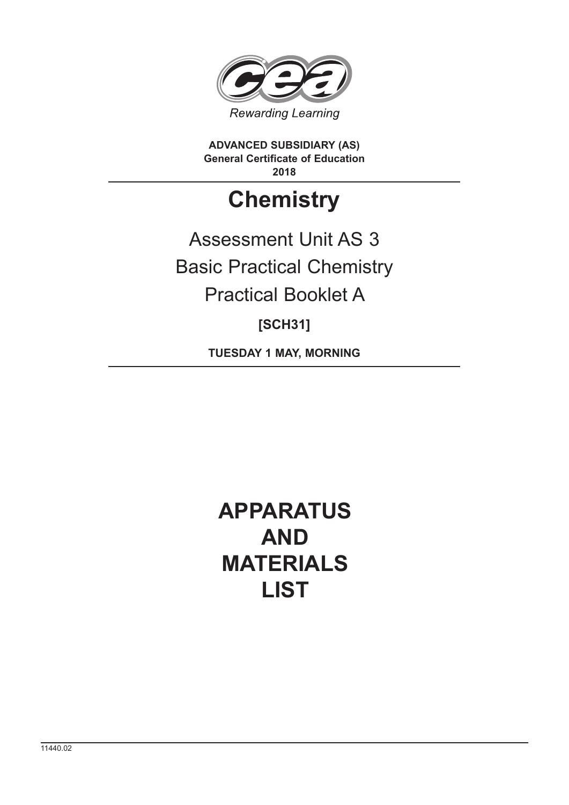

**ADVANCED SUBSIDIARY (AS) General Certificate of Education 2018**

## **Chemistry**

Assessment Unit AS 3 Basic Practical Chemistry Practical Booklet A

**[SCH31]**

**TUESDAY 1 MAY, MORNING**

## **APPARATUS AND MATERIALS LIST**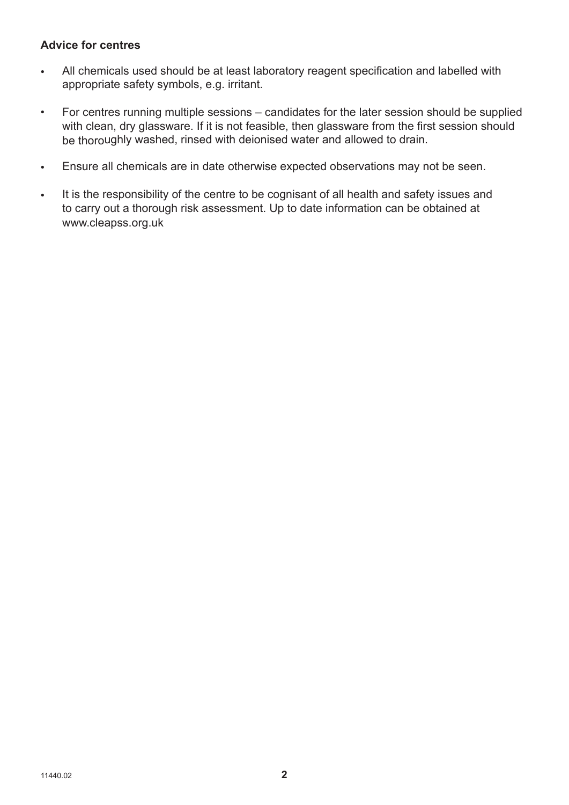#### **Advice for centres**

- All chemicals used should be at least laboratory reagent specification and labelled with appropriate safety symbols, e.g. irritant.
- For centres running multiple sessions candidates for the later session should be supplied with clean, dry glassware. If it is not feasible, then glassware from the first session should be thoroughly washed, rinsed with deionised water and allowed to drain.
- Ensure all chemicals are in date otherwise expected observations may not be seen.
- It is the responsibility of the centre to be cognisant of all health and safety issues and to carry out a thorough risk assessment. Up to date information can be obtained at www.cleapss.org.uk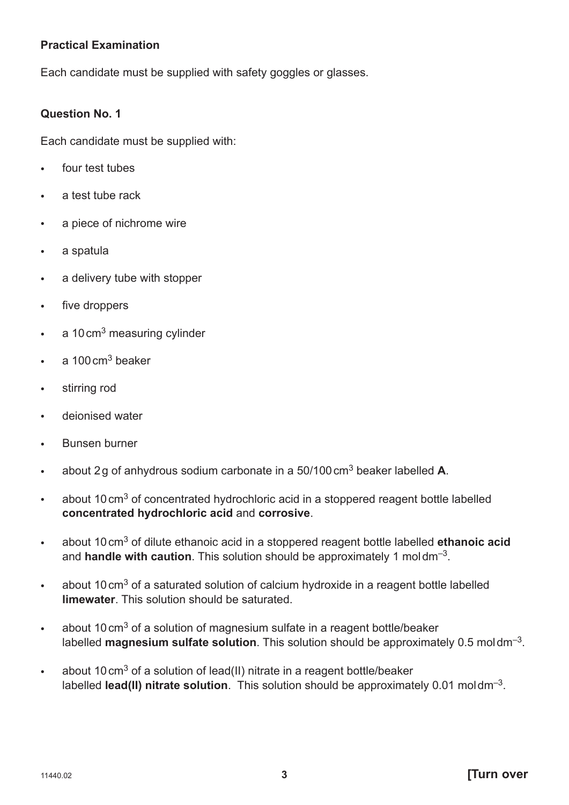#### **Practical Examination**

Each candidate must be supplied with safety goggles or glasses.

#### **Question No. 1**

Each candidate must be supplied with:

- four test tubes
- a test tube rack
- a piece of nichrome wire
- a spatula
- a delivery tube with stopper
- five droppers
- $\cdot$  a 10 cm<sup>3</sup> measuring cylinder
- $a = 100 \text{ cm}^3$  beaker
- stirring rod
- deionised water
- Bunsen burner
- about 2 g of anhydrous sodium carbonate in a 50/100 cm3 beaker labelled **A**.
- about 10 cm<sup>3</sup> of concentrated hydrochloric acid in a stoppered reagent bottle labelled **concentrated hydrochloric acid** and **corrosive**.
- about 10 cm3 of dilute ethanoic acid in a stoppered reagent bottle labelled **ethanoic acid** and **handle with caution**. This solution should be approximately 1 mol dm–3.
- about 10 cm<sup>3</sup> of a saturated solution of calcium hydroxide in a reagent bottle labelled **limewater**. This solution should be saturated.
- about 10 cm<sup>3</sup> of a solution of magnesium sulfate in a reagent bottle/beaker labelled **magnesium sulfate solution**. This solution should be approximately 0.5 mol dm–3.
- about 10 cm<sup>3</sup> of a solution of lead(II) nitrate in a reagent bottle/beaker labelled **lead(II) nitrate solution**. This solution should be approximately 0.01 mol dm–3.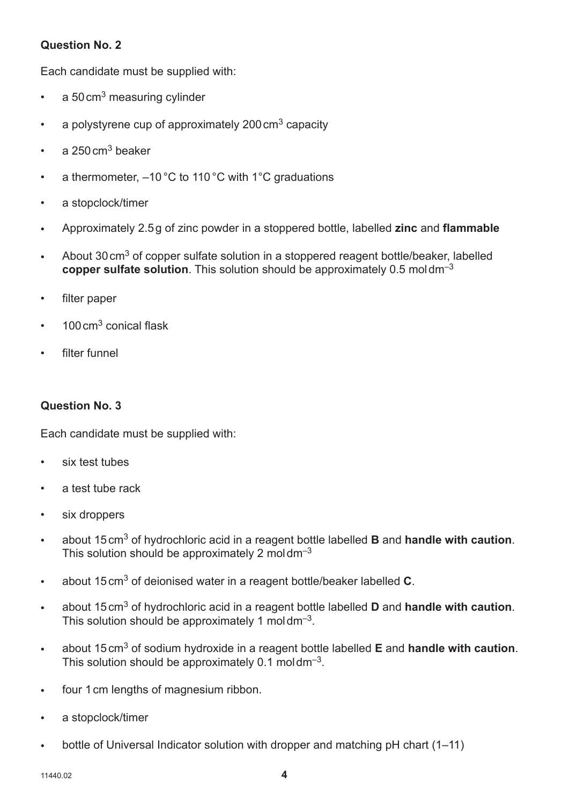#### **Question No. 2**

Each candidate must be supplied with:

- $\cdot$  a 50 cm<sup>3</sup> measuring cylinder
- a polystyrene cup of approximately  $200 \text{ cm}^3$  capacity
- a  $250 \text{ cm}^3$  beaker
- a thermometer,  $-10\degree$ C to 110 °C with 1 °C graduations
- a stopclock/timer
- Approximately 2.5 g of zinc powder in a stoppered bottle, labelled **zinc** and **flammable**
- About 30 cm<sup>3</sup> of copper sulfate solution in a stoppered reagent bottle/beaker, labelled **copper sulfate solution**. This solution should be approximately 0.5 mol dm–3
- filter paper
- $100 \text{ cm}^3$  conical flask
- filter funnel

#### **Question No. 3**

Each candidate must be supplied with:

- six test tubes
- a test tube rack
- six droppers
- about 15 cm3 of hydrochloric acid in a reagent bottle labelled **B** and **handle with caution**. This solution should be approximately 2 moldm<sup>-3</sup>
- about 15 cm3 of deionised water in a reagent bottle/beaker labelled **C**.
- about 15 cm3 of hydrochloric acid in a reagent bottle labelled **D** and **handle with caution**. This solution should be approximately 1 moldm<sup>-3</sup>.
- about 15 cm3 of sodium hydroxide in a reagent bottle labelled **E** and **handle with caution**. This solution should be approximately  $0.1 \text{ mol dm}^{-3}$ .
- four 1 cm lengths of magnesium ribbon.
- a stopclock/timer
- bottle of Universal Indicator solution with dropper and matching pH chart (1–11)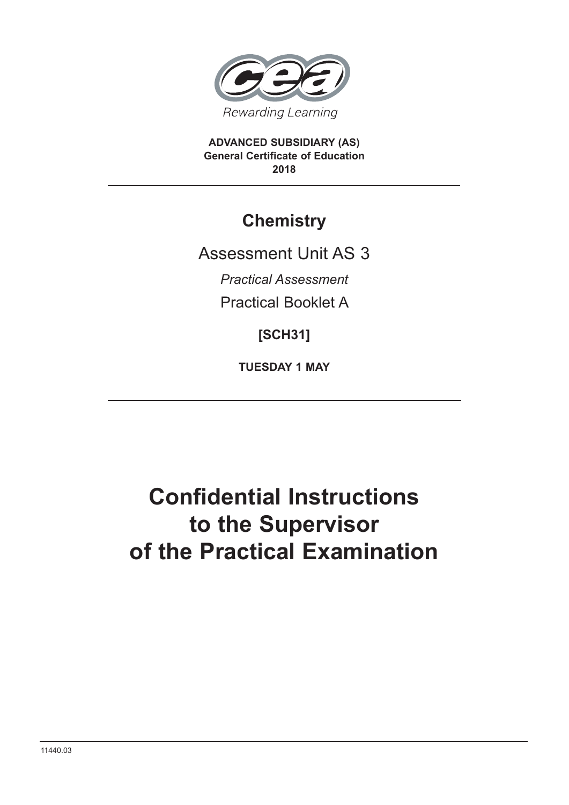

**ADVANCED SUBSIDIARY (AS) General Certificate of Education 2018**

## **Chemistry**

Assessment Unit AS 3

*Practical Assessment*

Practical Booklet A

**[SCH31]**

**TUESDAY 1 MAY**

## **Confidential Instructions to the Supervisor of the Practical Examination**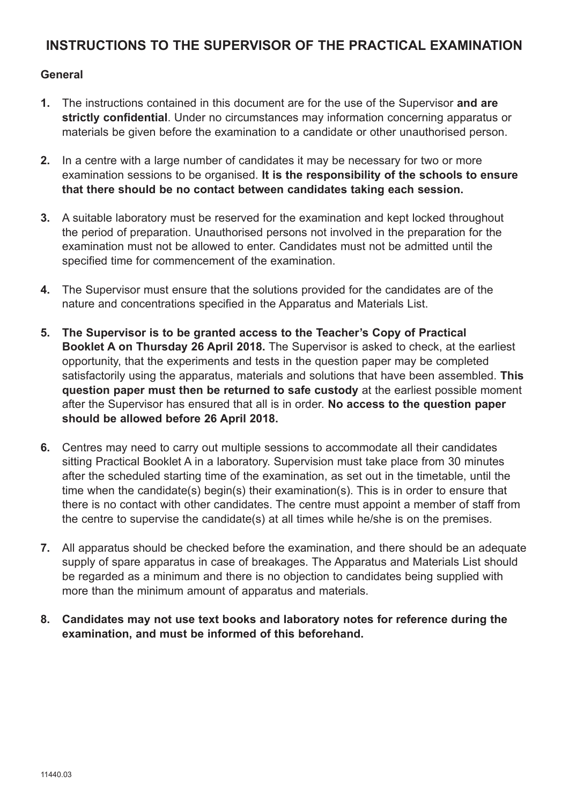#### **INSTRUCTIONS TO THE SUPERVISOR OF THE PRACTICAL EXAMINATION**

#### **General**

- **1.** The instructions contained in this document are for the use of the Supervisor **and are strictly confidential**. Under no circumstances may information concerning apparatus or materials be given before the examination to a candidate or other unauthorised person.
- **2.** In a centre with a large number of candidates it may be necessary for two or more examination sessions to be organised. **It is the responsibility of the schools to ensure that there should be no contact between candidates taking each session.**
- **3.** A suitable laboratory must be reserved for the examination and kept locked throughout the period of preparation. Unauthorised persons not involved in the preparation for the examination must not be allowed to enter. Candidates must not be admitted until the specified time for commencement of the examination.
- **4.** The Supervisor must ensure that the solutions provided for the candidates are of the nature and concentrations specified in the Apparatus and Materials List.
- **5. The Supervisor is to be granted access to the Teacher's Copy of Practical Booklet A on Thursday 26 April 2018.** The Supervisor is asked to check, at the earliest opportunity, that the experiments and tests in the question paper may be completed satisfactorily using the apparatus, materials and solutions that have been assembled. **This question paper must then be returned to safe custody** at the earliest possible moment after the Supervisor has ensured that all is in order. **No access to the question paper should be allowed before 26 April 2018.**
- **6.** Centres may need to carry out multiple sessions to accommodate all their candidates sitting Practical Booklet A in a laboratory. Supervision must take place from 30 minutes after the scheduled starting time of the examination, as set out in the timetable, until the time when the candidate(s) begin(s) their examination(s). This is in order to ensure that there is no contact with other candidates. The centre must appoint a member of staff from the centre to supervise the candidate(s) at all times while he/she is on the premises.
- **7.** All apparatus should be checked before the examination, and there should be an adequate supply of spare apparatus in case of breakages. The Apparatus and Materials List should be regarded as a minimum and there is no objection to candidates being supplied with more than the minimum amount of apparatus and materials.
- **8. Candidates may not use text books and laboratory notes for reference during the examination, and must be informed of this beforehand.**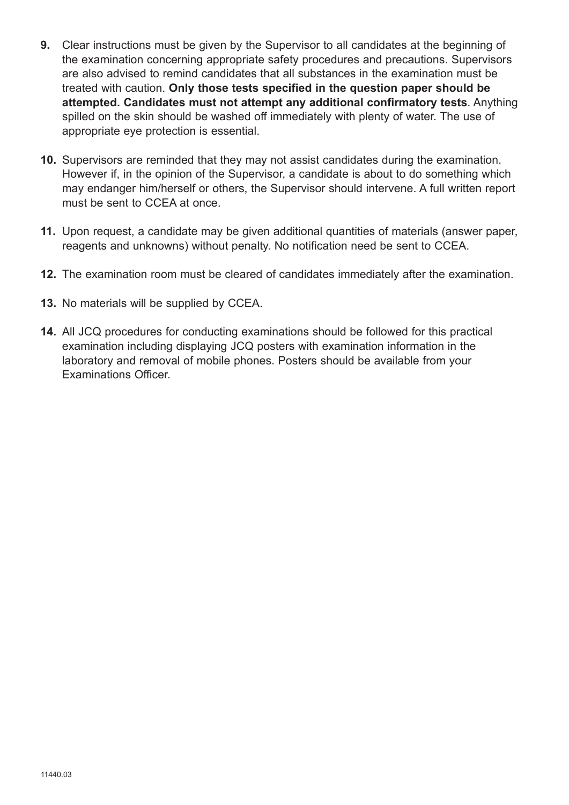- **9.** Clear instructions must be given by the Supervisor to all candidates at the beginning of the examination concerning appropriate safety procedures and precautions. Supervisors are also advised to remind candidates that all substances in the examination must be treated with caution. **Only those tests specified in the question paper should be attempted. Candidates must not attempt any additional confirmatory tests**. Anything spilled on the skin should be washed off immediately with plenty of water. The use of appropriate eye protection is essential.
- **10.** Supervisors are reminded that they may not assist candidates during the examination. However if, in the opinion of the Supervisor, a candidate is about to do something which may endanger him/herself or others, the Supervisor should intervene. A full written report must be sent to CCEA at once.
- **11.** Upon request, a candidate may be given additional quantities of materials (answer paper, reagents and unknowns) without penalty. No notification need be sent to CCEA.
- **12.** The examination room must be cleared of candidates immediately after the examination.
- **13.** No materials will be supplied by CCEA.
- **14.** All JCQ procedures for conducting examinations should be followed for this practical examination including displaying JCQ posters with examination information in the laboratory and removal of mobile phones. Posters should be available from your Examinations Officer.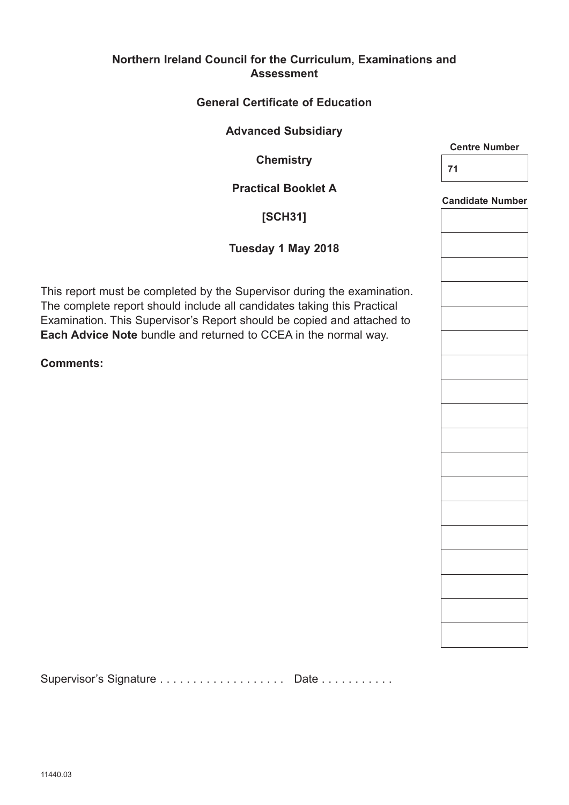#### **Northern Ireland Council for the Curriculum, Examinations and Assessment**

#### **General Certificate of Education**

#### **Advanced Subsidiary**

**Chemistry**

#### **Practical Booklet A**

#### **[SCH31]**

#### **Tuesday 1 May 2018**

This report must be completed by the Supervisor during the examination. The complete report should include all candidates taking this Practical Examination. This Supervisor's Report should be copied and attached to **Each Advice Note** bundle and returned to CCEA in the normal way.

**Comments:** 

Supervisor's Signature . . . . . . . . . . . . . . . . . . Date . . . . . . . . . . .

**Centre Number**

**71**

**Candidate Number**

| <b>Candidate Number</b> |
|-------------------------|
|                         |
|                         |
|                         |
|                         |
|                         |
|                         |
|                         |
|                         |
|                         |
|                         |
|                         |
|                         |
|                         |
|                         |
|                         |
|                         |
|                         |
|                         |
|                         |
|                         |
|                         |
|                         |
|                         |
|                         |
|                         |
|                         |
|                         |
|                         |
|                         |
|                         |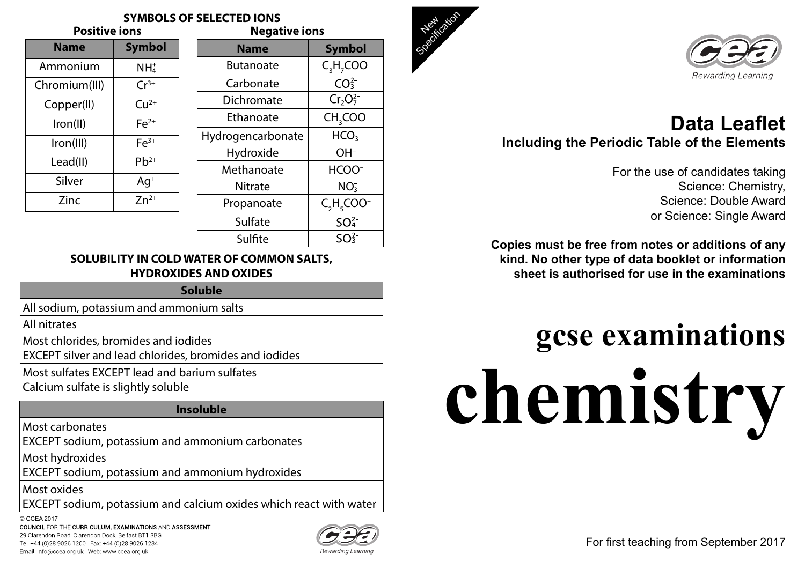## **SOLUBILITY IN COLD WATER OF COMMON SALTS, HYDROXIDES AND OXIDES**

## **Soluble**

All sodium, potassium and ammonium salts

All nitrates

Most chlorides, bromides and iodides

EXCEPT silver and lead chlorides, bromides and iodides

Most sulfates EXCEPT lead and barium sulfates

Calcium sulfate is slightly soluble

## **Insoluble**

| <b>SYMBOLS OF SELECTED IONS</b><br><b>Negative ions</b><br>ons |                  |               |  |
|----------------------------------------------------------------|------------------|---------------|--|
| Symbol                                                         | <b>Name</b>      | <b>Symbol</b> |  |
| NH <sub>4</sub>                                                | <b>Butanoate</b> | $C_1H_1COO$   |  |

Most carbonates

EXCEPT sodium, potassium and ammonium carbonates

Most hydroxides

© CCEA 2017COUNCIL FOR THE CURRICULUM, EXAMINATIONS AND ASSESSMENT 29 Clarendon Road, Clarendon Dock, Belfast BT1 3BG Tel: +44 (0)28 9026 1200 Fax: +44 (0)28 9026 1234 Email: info@ccea.org.uk Web: www.ccea.org.uk



EXCEPT sodium, potassium and ammonium hydroxides

Most oxides

EXCEPT sodium, potassium and calcium oxides which react with water

| <b>Name</b>   | <b>Symbol</b>   |
|---------------|-----------------|
| Ammonium      | NH <sub>4</sub> |
| Chromium(III) | $Cr^{3+}$       |
| Copper(II)    | $Cu2+$          |
| lron(II)      | $Fe2+$          |
| Iron(III)     | $Fe3+$          |
| Lead(II)      | $Pb^{2+}$       |
| Silver        | $Aq^+$          |
| Zinc          | $Zn^{2+}$       |





Hydrogencarbonate

Hydroxide

Methanoate

Propanoate

–

 $\mathsf{H}_{_5}$ COO $^-$ 

 $SO<sub>4</sub><sup>2</sup>$ 

 $SO<sub>3</sub><sup>2</sup>$ 

| <b>Positive ions</b> |               | <b>Negative ions</b> |                              |                 |
|----------------------|---------------|----------------------|------------------------------|-----------------|
| ne                   | <b>Symbol</b> | <b>Name</b>          | <b>Symbol</b>                | <b>Children</b> |
| nium                 | $NH4+$        | <b>Butanoate</b>     | $C_3H_7COO^{-1}$             |                 |
| dm(III)              | $Cr^{3+}$     | Carbonate            | CO <sub>3</sub> <sup>2</sup> |                 |
| er(II)               | $Cu2+$        | Dichromate           | $Cr_2O_7^{2-}$               |                 |
| (  )                 | $Fe2+$        | Ethanoate            | $CH3COO-$                    |                 |

–

Sulfate

Sulfite

Nitrate NO<sub>3</sub>

| ♦ |   |
|---|---|
|   | s |
|   |   |
|   |   |
|   |   |
|   |   |
|   |   |
|   |   |
|   |   |

 $HCO<sub>3</sub>$ 

For fi rst teaching from September 2017

## **Data Leafl etIncluding the Periodic Table of the Elements**

For the use of candidates taking Science: Chemistry, Science: Double Awardor Science: Single Award

**Copies must be free from notes or additions of any kind. No other type of data booklet or information sheet is authorised for use in the examinations**

# **gcse examinations chemistry**